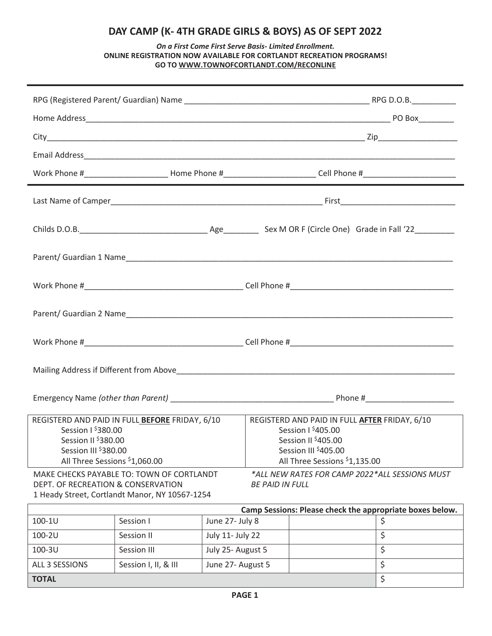# **DAY CAMP (K- 4TH GRADE GIRLS & BOYS) AS OF SEPT 2022**

## *On a First Come First Serve Basis- Limited Enrollment.*  **ONLINE REGISTRATION NOW AVAILABLE FOR CORTLANDT RECREATION PROGRAMS! GO TO WWW.TOWNOFCORTLANDT.COM/RECONLINE**

| Work Phone #_____________________________Home Phone #_________________________Cell Phone #__________________________                                                                                                                                                                                                                                        |  |  |  |  |  |  |  |
|-------------------------------------------------------------------------------------------------------------------------------------------------------------------------------------------------------------------------------------------------------------------------------------------------------------------------------------------------------------|--|--|--|--|--|--|--|
|                                                                                                                                                                                                                                                                                                                                                             |  |  |  |  |  |  |  |
|                                                                                                                                                                                                                                                                                                                                                             |  |  |  |  |  |  |  |
|                                                                                                                                                                                                                                                                                                                                                             |  |  |  |  |  |  |  |
|                                                                                                                                                                                                                                                                                                                                                             |  |  |  |  |  |  |  |
|                                                                                                                                                                                                                                                                                                                                                             |  |  |  |  |  |  |  |
|                                                                                                                                                                                                                                                                                                                                                             |  |  |  |  |  |  |  |
|                                                                                                                                                                                                                                                                                                                                                             |  |  |  |  |  |  |  |
|                                                                                                                                                                                                                                                                                                                                                             |  |  |  |  |  |  |  |
|                                                                                                                                                                                                                                                                                                                                                             |  |  |  |  |  |  |  |
|                                                                                                                                                                                                                                                                                                                                                             |  |  |  |  |  |  |  |
|                                                                                                                                                                                                                                                                                                                                                             |  |  |  |  |  |  |  |
|                                                                                                                                                                                                                                                                                                                                                             |  |  |  |  |  |  |  |
| REGISTERD AND PAID IN FULL BEFORE FRIDAY, 6/10<br>REGISTERD AND PAID IN FULL AFTER FRIDAY, 6/10<br>Session $1$ <sup>\$</sup> 380.00<br>Session $1\frac{6}{2}405.00$<br>Session II \$380.00<br>Session II <sup>\$</sup> 405.00<br>Session III \$380.00<br>Session III \$405.00<br>All Three Sessions \$1,060.00<br>All Three Sessions <sup>\$</sup> 1,135.00 |  |  |  |  |  |  |  |
| MAKE CHECKS PAYABLE TO: TOWN OF CORTLANDT<br>*ALL NEW RATES FOR CAMP 2022*ALL SESSIONS MUST<br>DEPT. OF RECREATION & CONSERVATION<br><b>BE PAID IN FULL</b><br>1 Heady Street, Cortlandt Manor, NY 10567-1254                                                                                                                                               |  |  |  |  |  |  |  |
| Camp Sessions: Please check the appropriate boxes below.                                                                                                                                                                                                                                                                                                    |  |  |  |  |  |  |  |
| June 27- July 8<br>100-1U<br>Session I<br>\$                                                                                                                                                                                                                                                                                                                |  |  |  |  |  |  |  |
| \$<br>100-2U<br>July 11- July 22<br>Session II                                                                                                                                                                                                                                                                                                              |  |  |  |  |  |  |  |
| \$<br>100-3U<br>July 25- August 5<br>Session III                                                                                                                                                                                                                                                                                                            |  |  |  |  |  |  |  |
| \$<br>ALL 3 SESSIONS<br>Session I, II, & III<br>June 27- August 5<br>\$<br><b>TOTAL</b>                                                                                                                                                                                                                                                                     |  |  |  |  |  |  |  |